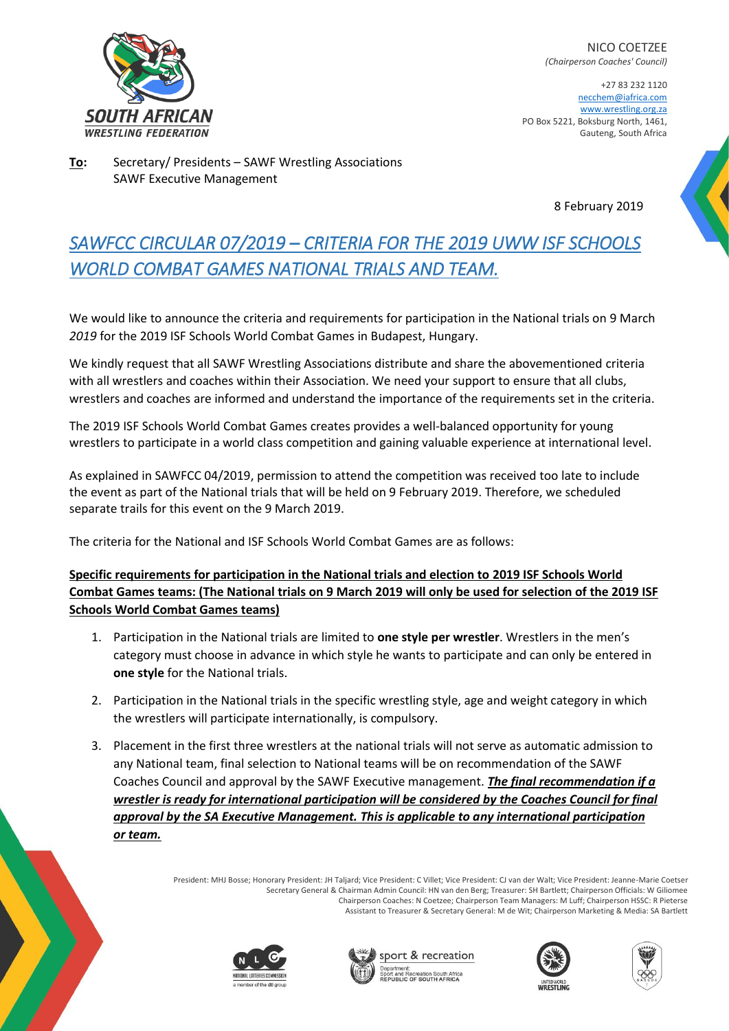

NICO COETZEE *(Chairperson Coaches' Council)*

+27 83 232 1120 necchem@iafrica.com [www.wrestling.org.za](http://www.wrestling.org.za/) PO Box 5221, Boksburg North, 1461, Gauteng, South Africa

**To:** Secretary/ Presidents – SAWF Wrestling Associations SAWF Executive Management

8 February 2019

# *SAWFCC CIRCULAR 07/2019 – CRITERIA FOR THE 2019 UWW ISF SCHOOLS WORLD COMBAT GAMES NATIONAL TRIALS AND TEAM.*

We would like to announce the criteria and requirements for participation in the National trials on 9 March *2019* for the 2019 ISF Schools World Combat Games in Budapest, Hungary.

We kindly request that all SAWF Wrestling Associations distribute and share the abovementioned criteria with all wrestlers and coaches within their Association. We need your support to ensure that all clubs, wrestlers and coaches are informed and understand the importance of the requirements set in the criteria.

The 2019 ISF Schools World Combat Games creates provides a well-balanced opportunity for young wrestlers to participate in a world class competition and gaining valuable experience at international level.

As explained in SAWFCC 04/2019, permission to attend the competition was received too late to include the event as part of the National trials that will be held on 9 February 2019. Therefore, we scheduled separate trails for this event on the 9 March 2019.

The criteria for the National and ISF Schools World Combat Games are as follows:

## **Specific requirements for participation in the National trials and election to 2019 ISF Schools World Combat Games teams: (The National trials on 9 March 2019 will only be used for selection of the 2019 ISF Schools World Combat Games teams)**

- 1. Participation in the National trials are limited to **one style per wrestler**. Wrestlers in the men's category must choose in advance in which style he wants to participate and can only be entered in **one style** for the National trials.
- 2. Participation in the National trials in the specific wrestling style, age and weight category in which the wrestlers will participate internationally, is compulsory.
- 3. Placement in the first three wrestlers at the national trials will not serve as automatic admission to any National team, final selection to National teams will be on recommendation of the SAWF Coaches Council and approval by the SAWF Executive management. *The final recommendation if a wrestler is ready for international participation will be considered by the Coaches Council for final approval by the SA Executive Management. This is applicable to any international participation or team.*

President: MHJ Bosse; Honorary President: JH Taljard; Vice President: C Villet; Vice President: CJ van der Walt; Vice President: Jeanne-Marie Coetser Secretary General & Chairman Admin Council: HN van den Berg; Treasurer: SH Bartlett; Chairperson Officials: W Giliomee Chairperson Coaches: N Coetzee; Chairperson Team Managers: M Luff; Chairperson HSSC: R Pieterse Assistant to Treasurer & Secretary General: M de Wit; Chairperson Marketing & Media: SA Bartlett









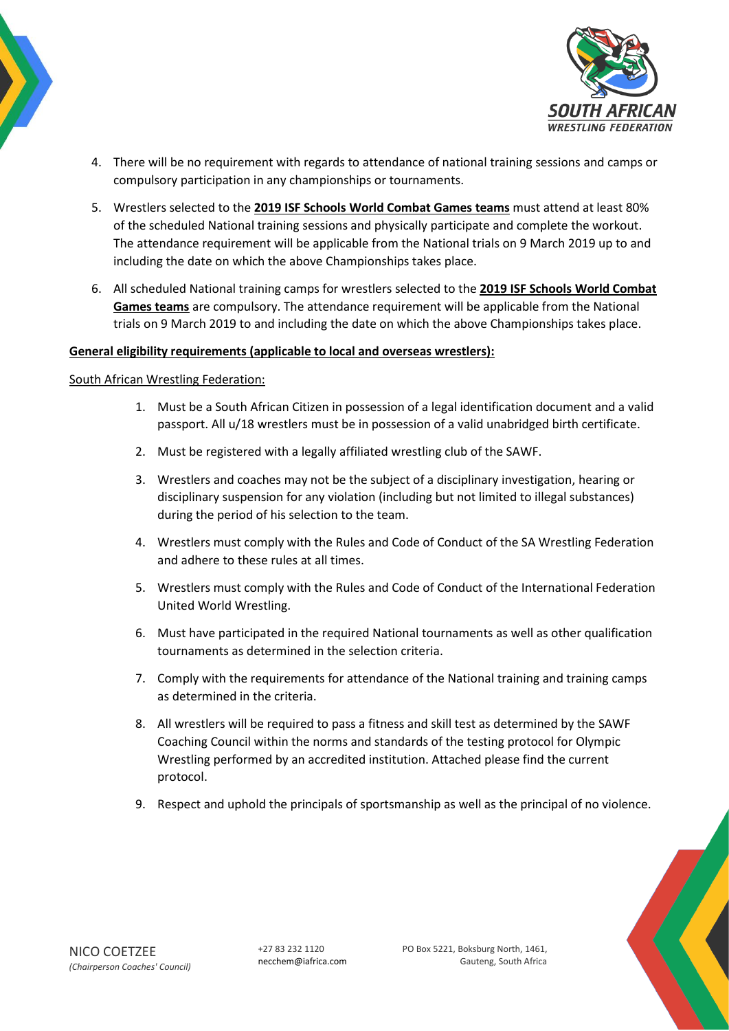



- 4. There will be no requirement with regards to attendance of national training sessions and camps or compulsory participation in any championships or tournaments.
- 5. Wrestlers selected to the **2019 ISF Schools World Combat Games teams** must attend at least 80% of the scheduled National training sessions and physically participate and complete the workout. The attendance requirement will be applicable from the National trials on 9 March 2019 up to and including the date on which the above Championships takes place.
- 6. All scheduled National training camps for wrestlers selected to the **2019 ISF Schools World Combat Games teams** are compulsory. The attendance requirement will be applicable from the National trials on 9 March 2019 to and including the date on which the above Championships takes place.

#### **General eligibility requirements (applicable to local and overseas wrestlers):**

#### South African Wrestling Federation:

- 1. Must be a South African Citizen in possession of a legal identification document and a valid passport. All u/18 wrestlers must be in possession of a valid unabridged birth certificate.
- 2. Must be registered with a legally affiliated wrestling club of the SAWF.
- 3. Wrestlers and coaches may not be the subject of a disciplinary investigation, hearing or disciplinary suspension for any violation (including but not limited to illegal substances) during the period of his selection to the team.
- 4. Wrestlers must comply with the Rules and Code of Conduct of the SA Wrestling Federation and adhere to these rules at all times.
- 5. Wrestlers must comply with the Rules and Code of Conduct of the International Federation United World Wrestling.
- 6. Must have participated in the required National tournaments as well as other qualification tournaments as determined in the selection criteria.
- 7. Comply with the requirements for attendance of the National training and training camps as determined in the criteria.
- 8. All wrestlers will be required to pass a fitness and skill test as determined by the SAWF Coaching Council within the norms and standards of the testing protocol for Olympic Wrestling performed by an accredited institution. Attached please find the current protocol.
- 9. Respect and uphold the principals of sportsmanship as well as the principal of no violence.